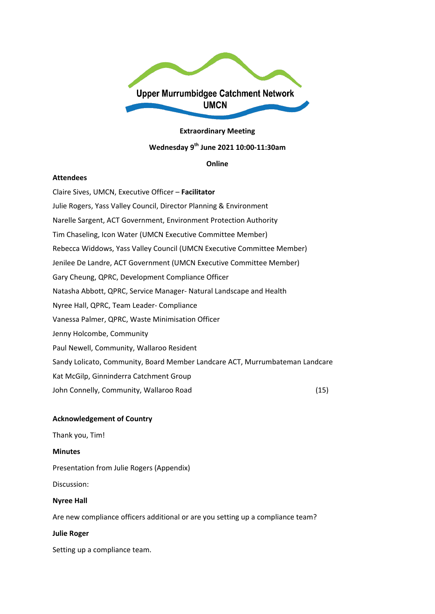

#### **Extraordinary Meeting**

# **Wednesday 9th June 2021 10:00-11:30am**

#### **Online**

#### **Attendees**

Claire Sives, UMCN, Executive Officer – **Facilitator** Julie Rogers, Yass Valley Council, Director Planning & Environment Narelle Sargent, ACT Government, Environment Protection Authority Tim Chaseling, Icon Water (UMCN Executive Committee Member) Rebecca Widdows, Yass Valley Council (UMCN Executive Committee Member) Jenilee De Landre, ACT Government (UMCN Executive Committee Member) Gary Cheung, QPRC, Development Compliance Officer Natasha Abbott, QPRC, Service Manager- Natural Landscape and Health Nyree Hall, QPRC, Team Leader- Compliance Vanessa Palmer, QPRC, Waste Minimisation Officer Jenny Holcombe, Community Paul Newell, Community, Wallaroo Resident Sandy Lolicato, Community, Board Member Landcare ACT, Murrumbateman Landcare Kat McGilp, Ginninderra Catchment Group John Connelly, Community, Wallaroo Road (15)

## **Acknowledgement of Country**

Thank you, Tim!

#### **Minutes**

Presentation from Julie Rogers (Appendix)

Discussion:

#### **Nyree Hall**

Are new compliance officers additional or are you setting up a compliance team?

#### **Julie Roger**

Setting up a compliance team.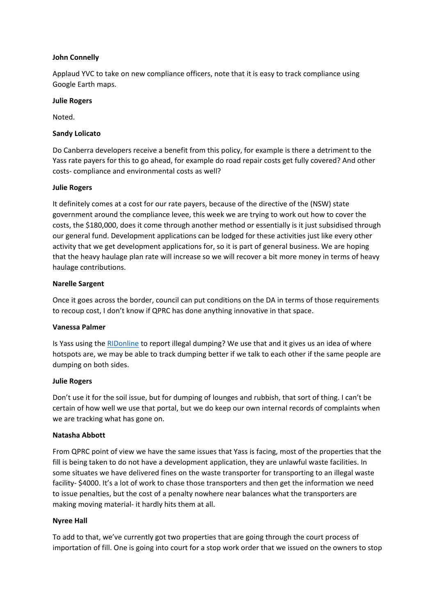# **John Connelly**

Applaud YVC to take on new compliance officers, note that it is easy to track compliance using Google Earth maps.

## **Julie Rogers**

Noted.

# **Sandy Lolicato**

Do Canberra developers receive a benefit from this policy, for example is there a detriment to the Yass rate payers for this to go ahead, for example do road repair costs get fully covered? And other costs- compliance and environmental costs as well?

# **Julie Rogers**

It definitely comes at a cost for our rate payers, because of the directive of the (NSW) state government around the compliance levee, this week we are trying to work out how to cover the costs, the \$180,000, does it come through another method or essentially is it just subsidised through our general fund. Development applications can be lodged for these activities just like every other activity that we get development applications for, so it is part of general business. We are hoping that the heavy haulage plan rate will increase so we will recover a bit more money in terms of heavy haulage contributions.

# **Narelle Sargent**

Once it goes across the border, council can put conditions on the DA in terms of those requirements to recoup cost, I don't know if QPRC has done anything innovative in that space.

## **Vanessa Palmer**

Is Yass using the [RIDonline](https://www.epa.nsw.gov.au/your-environment/litter-and-illegal-dumping/report-illegal-dumping) to report illegal dumping? We use that and it gives us an idea of where hotspots are, we may be able to track dumping better if we talk to each other if the same people are dumping on both sides.

## **Julie Rogers**

Don't use it for the soil issue, but for dumping of lounges and rubbish, that sort of thing. I can't be certain of how well we use that portal, but we do keep our own internal records of complaints when we are tracking what has gone on.

## **Natasha Abbott**

From QPRC point of view we have the same issues that Yass is facing, most of the properties that the fill is being taken to do not have a development application, they are unlawful waste facilities. In some situates we have delivered fines on the waste transporter for transporting to an illegal waste facility- \$4000. It's a lot of work to chase those transporters and then get the information we need to issue penalties, but the cost of a penalty nowhere near balances what the transporters are making moving material- it hardly hits them at all.

## **Nyree Hall**

To add to that, we've currently got two properties that are going through the court process of importation of fill. One is going into court for a stop work order that we issued on the owners to stop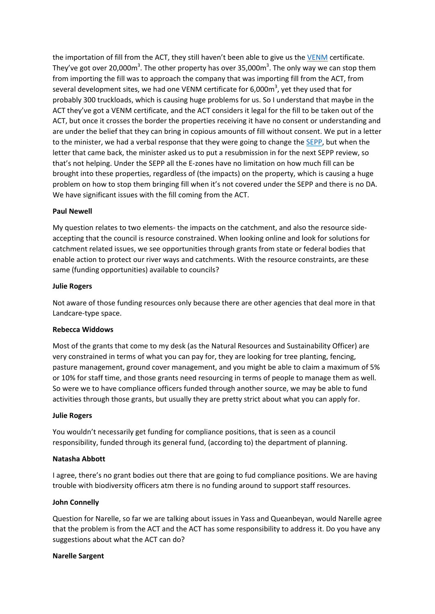the importation of fill from the ACT, they still haven't been able to give us th[e VENM](https://www.epa.nsw.gov.au/your-environment/waste/classifying-waste/virgin-excavated-natural-material) certificate. They've got over 20,000m<sup>3</sup>. The other property has over 35,000m<sup>3</sup>. The only way we can stop them from importing the fill was to approach the company that was importing fill from the ACT, from several development sites, we had one VENM certificate for 6,000m<sup>3</sup>, yet they used that for probably 300 truckloads, which is causing huge problems for us. So I understand that maybe in the ACT they've got a VENM certificate, and the ACT considers it legal for the fill to be taken out of the ACT, but once it crosses the border the properties receiving it have no consent or understanding and are under the belief that they can bring in copious amounts of fill without consent. We put in a letter to the minister, we had a verbal response that they were going to change the [SEPP,](https://www.planning.nsw.gov.au/Policy-and-Legislation/State-Environmental-Planning-Policies) but when the letter that came back, the minister asked us to put a resubmission in for the next SEPP review, so that's not helping. Under the SEPP all the E-zones have no limitation on how much fill can be brought into these properties, regardless of (the impacts) on the property, which is causing a huge problem on how to stop them bringing fill when it's not covered under the SEPP and there is no DA. We have significant issues with the fill coming from the ACT.

# **Paul Newell**

My question relates to two elements- the impacts on the catchment, and also the resource sideaccepting that the council is resource constrained. When looking online and look for solutions for catchment related issues, we see opportunities through grants from state or federal bodies that enable action to protect our river ways and catchments. With the resource constraints, are these same (funding opportunities) available to councils?

## **Julie Rogers**

Not aware of those funding resources only because there are other agencies that deal more in that Landcare-type space.

## **Rebecca Widdows**

Most of the grants that come to my desk (as the Natural Resources and Sustainability Officer) are very constrained in terms of what you can pay for, they are looking for tree planting, fencing, pasture management, ground cover management, and you might be able to claim a maximum of 5% or 10% for staff time, and those grants need resourcing in terms of people to manage them as well. So were we to have compliance officers funded through another source, we may be able to fund activities through those grants, but usually they are pretty strict about what you can apply for.

## **Julie Rogers**

You wouldn't necessarily get funding for compliance positions, that is seen as a council responsibility, funded through its general fund, (according to) the department of planning.

## **Natasha Abbott**

I agree, there's no grant bodies out there that are going to fud compliance positions. We are having trouble with biodiversity officers atm there is no funding around to support staff resources.

## **John Connelly**

Question for Narelle, so far we are talking about issues in Yass and Queanbeyan, would Narelle agree that the problem is from the ACT and the ACT has some responsibility to address it. Do you have any suggestions about what the ACT can do?

## **Narelle Sargent**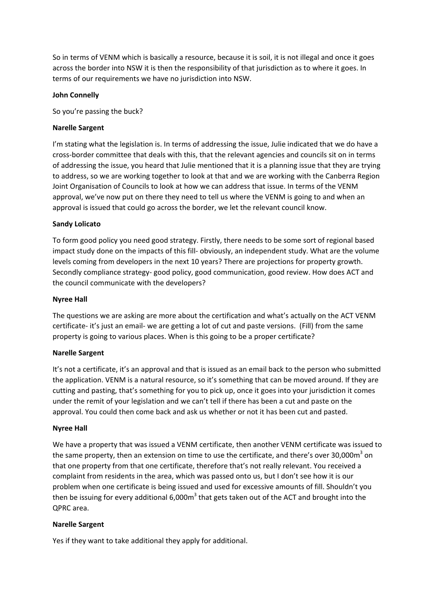So in terms of VENM which is basically a resource, because it is soil, it is not illegal and once it goes across the border into NSW it is then the responsibility of that jurisdiction as to where it goes. In terms of our requirements we have no jurisdiction into NSW.

## **John Connelly**

So you're passing the buck?

# **Narelle Sargent**

I'm stating what the legislation is. In terms of addressing the issue, Julie indicated that we do have a cross-border committee that deals with this, that the relevant agencies and councils sit on in terms of addressing the issue, you heard that Julie mentioned that it is a planning issue that they are trying to address, so we are working together to look at that and we are working with the Canberra Region Joint Organisation of Councils to look at how we can address that issue. In terms of the VENM approval, we've now put on there they need to tell us where the VENM is going to and when an approval is issued that could go across the border, we let the relevant council know.

# **Sandy Lolicato**

To form good policy you need good strategy. Firstly, there needs to be some sort of regional based impact study done on the impacts of this fill- obviously, an independent study. What are the volume levels coming from developers in the next 10 years? There are projections for property growth. Secondly compliance strategy- good policy, good communication, good review. How does ACT and the council communicate with the developers?

# **Nyree Hall**

The questions we are asking are more about the certification and what's actually on the ACT VENM certificate- it's just an email- we are getting a lot of cut and paste versions. (Fill) from the same property is going to various places. When is this going to be a proper certificate?

## **Narelle Sargent**

It's not a certificate, it's an approval and that is issued as an email back to the person who submitted the application. VENM is a natural resource, so it's something that can be moved around. If they are cutting and pasting, that's something for you to pick up, once it goes into your jurisdiction it comes under the remit of your legislation and we can't tell if there has been a cut and paste on the approval. You could then come back and ask us whether or not it has been cut and pasted.

## **Nyree Hall**

We have a property that was issued a VENM certificate, then another VENM certificate was issued to the same property, then an extension on time to use the certificate, and there's over  $30,000m<sup>3</sup>$  on that one property from that one certificate, therefore that's not really relevant. You received a complaint from residents in the area, which was passed onto us, but I don't see how it is our problem when one certificate is being issued and used for excessive amounts of fill. Shouldn't you then be issuing for every additional  $6,000m<sup>3</sup>$  that gets taken out of the ACT and brought into the QPRC area.

## **Narelle Sargent**

Yes if they want to take additional they apply for additional.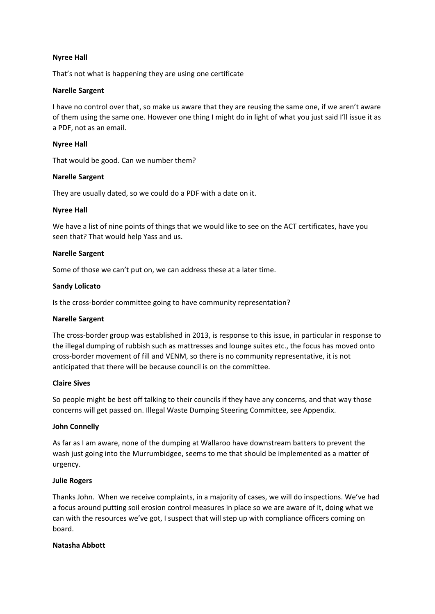## **Nyree Hall**

That's not what is happening they are using one certificate

## **Narelle Sargent**

I have no control over that, so make us aware that they are reusing the same one, if we aren't aware of them using the same one. However one thing I might do in light of what you just said I'll issue it as a PDF, not as an email.

## **Nyree Hall**

That would be good. Can we number them?

# **Narelle Sargent**

They are usually dated, so we could do a PDF with a date on it.

# **Nyree Hall**

We have a list of nine points of things that we would like to see on the ACT certificates, have you seen that? That would help Yass and us.

# **Narelle Sargent**

Some of those we can't put on, we can address these at a later time.

# **Sandy Lolicato**

Is the cross-border committee going to have community representation?

## **Narelle Sargent**

The cross-border group was established in 2013, is response to this issue, in particular in response to the illegal dumping of rubbish such as mattresses and lounge suites etc., the focus has moved onto cross-border movement of fill and VENM, so there is no community representative, it is not anticipated that there will be because council is on the committee.

## **Claire Sives**

So people might be best off talking to their councils if they have any concerns, and that way those concerns will get passed on. Illegal Waste Dumping Steering Committee, see Appendix.

# **John Connelly**

As far as I am aware, none of the dumping at Wallaroo have downstream batters to prevent the wash just going into the Murrumbidgee, seems to me that should be implemented as a matter of urgency.

## **Julie Rogers**

Thanks John. When we receive complaints, in a majority of cases, we will do inspections. We've had a focus around putting soil erosion control measures in place so we are aware of it, doing what we can with the resources we've got, I suspect that will step up with compliance officers coming on board.

## **Natasha Abbott**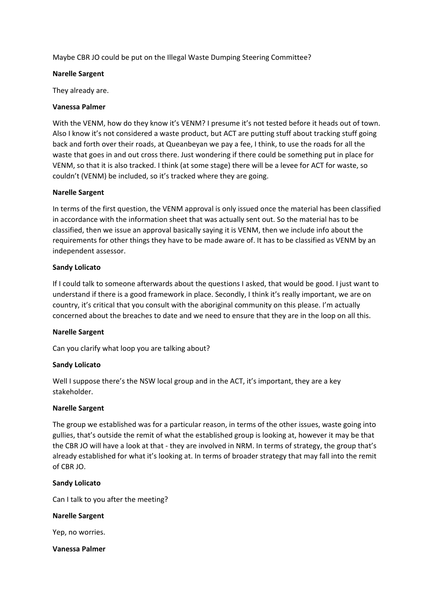Maybe CBR JO could be put on the Illegal Waste Dumping Steering Committee?

## **Narelle Sargent**

They already are.

# **Vanessa Palmer**

With the VENM, how do they know it's VENM? I presume it's not tested before it heads out of town. Also I know it's not considered a waste product, but ACT are putting stuff about tracking stuff going back and forth over their roads, at Queanbeyan we pay a fee, I think, to use the roads for all the waste that goes in and out cross there. Just wondering if there could be something put in place for VENM, so that it is also tracked. I think (at some stage) there will be a levee for ACT for waste, so couldn't (VENM) be included, so it's tracked where they are going.

# **Narelle Sargent**

In terms of the first question, the VENM approval is only issued once the material has been classified in accordance with the information sheet that was actually sent out. So the material has to be classified, then we issue an approval basically saying it is VENM, then we include info about the requirements for other things they have to be made aware of. It has to be classified as VENM by an independent assessor.

# **Sandy Lolicato**

If I could talk to someone afterwards about the questions I asked, that would be good. I just want to understand if there is a good framework in place. Secondly, I think it's really important, we are on country, it's critical that you consult with the aboriginal community on this please. I'm actually concerned about the breaches to date and we need to ensure that they are in the loop on all this.

## **Narelle Sargent**

Can you clarify what loop you are talking about?

## **Sandy Lolicato**

Well I suppose there's the NSW local group and in the ACT, it's important, they are a key stakeholder.

## **Narelle Sargent**

The group we established was for a particular reason, in terms of the other issues, waste going into gullies, that's outside the remit of what the established group is looking at, however it may be that the CBR JO will have a look at that - they are involved in NRM. In terms of strategy, the group that's already established for what it's looking at. In terms of broader strategy that may fall into the remit of CBR JO.

## **Sandy Lolicato**

Can I talk to you after the meeting?

## **Narelle Sargent**

Yep, no worries.

**Vanessa Palmer**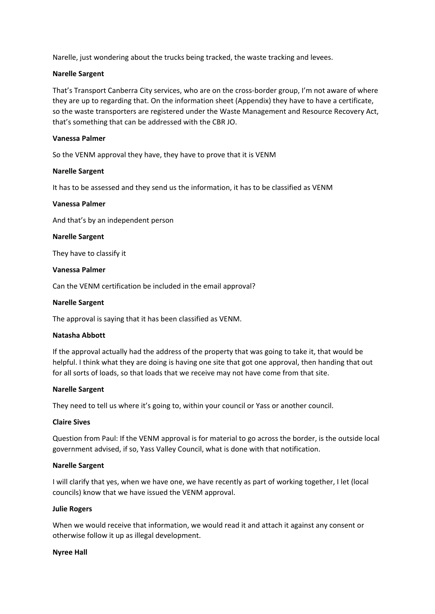Narelle, just wondering about the trucks being tracked, the waste tracking and levees.

## **Narelle Sargent**

That's Transport Canberra City services, who are on the cross-border group, I'm not aware of where they are up to regarding that. On the information sheet (Appendix) they have to have a certificate, so the waste transporters are registered under the Waste Management and Resource Recovery Act, that's something that can be addressed with the CBR JO.

## **Vanessa Palmer**

So the VENM approval they have, they have to prove that it is VENM

# **Narelle Sargent**

It has to be assessed and they send us the information, it has to be classified as VENM

## **Vanessa Palmer**

And that's by an independent person

## **Narelle Sargent**

They have to classify it

#### **Vanessa Palmer**

Can the VENM certification be included in the email approval?

#### **Narelle Sargent**

The approval is saying that it has been classified as VENM.

## **Natasha Abbott**

If the approval actually had the address of the property that was going to take it, that would be helpful. I think what they are doing is having one site that got one approval, then handing that out for all sorts of loads, so that loads that we receive may not have come from that site.

## **Narelle Sargent**

They need to tell us where it's going to, within your council or Yass or another council.

## **Claire Sives**

Question from Paul: If the VENM approval is for material to go across the border, is the outside local government advised, if so, Yass Valley Council, what is done with that notification.

## **Narelle Sargent**

I will clarify that yes, when we have one, we have recently as part of working together, I let (local councils) know that we have issued the VENM approval.

#### **Julie Rogers**

When we would receive that information, we would read it and attach it against any consent or otherwise follow it up as illegal development.

#### **Nyree Hall**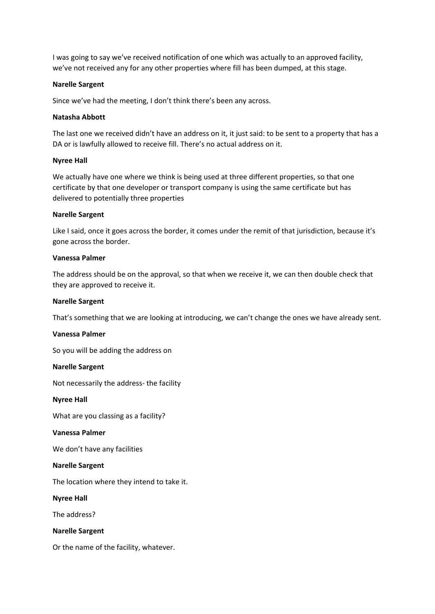I was going to say we've received notification of one which was actually to an approved facility, we've not received any for any other properties where fill has been dumped, at this stage.

#### **Narelle Sargent**

Since we've had the meeting, I don't think there's been any across.

### **Natasha Abbott**

The last one we received didn't have an address on it, it just said: to be sent to a property that has a DA or is lawfully allowed to receive fill. There's no actual address on it.

#### **Nyree Hall**

We actually have one where we think is being used at three different properties, so that one certificate by that one developer or transport company is using the same certificate but has delivered to potentially three properties

#### **Narelle Sargent**

Like I said, once it goes across the border, it comes under the remit of that jurisdiction, because it's gone across the border.

#### **Vanessa Palmer**

The address should be on the approval, so that when we receive it, we can then double check that they are approved to receive it.

#### **Narelle Sargent**

That's something that we are looking at introducing, we can't change the ones we have already sent.

#### **Vanessa Palmer**

So you will be adding the address on

#### **Narelle Sargent**

Not necessarily the address- the facility

**Nyree Hall**

What are you classing as a facility?

#### **Vanessa Palmer**

We don't have any facilities

#### **Narelle Sargent**

The location where they intend to take it.

**Nyree Hall**

The address?

**Narelle Sargent**

Or the name of the facility, whatever.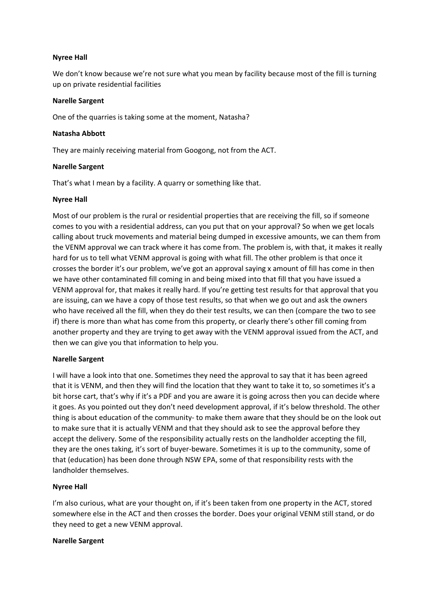## **Nyree Hall**

We don't know because we're not sure what you mean by facility because most of the fill is turning up on private residential facilities

## **Narelle Sargent**

One of the quarries is taking some at the moment, Natasha?

## **Natasha Abbott**

They are mainly receiving material from Googong, not from the ACT.

# **Narelle Sargent**

That's what I mean by a facility. A quarry or something like that.

# **Nyree Hall**

Most of our problem is the rural or residential properties that are receiving the fill, so if someone comes to you with a residential address, can you put that on your approval? So when we get locals calling about truck movements and material being dumped in excessive amounts, we can them from the VENM approval we can track where it has come from. The problem is, with that, it makes it really hard for us to tell what VENM approval is going with what fill. The other problem is that once it crosses the border it's our problem, we've got an approval saying x amount of fill has come in then we have other contaminated fill coming in and being mixed into that fill that you have issued a VENM approval for, that makes it really hard. If you're getting test results for that approval that you are issuing, can we have a copy of those test results, so that when we go out and ask the owners who have received all the fill, when they do their test results, we can then (compare the two to see if) there is more than what has come from this property, or clearly there's other fill coming from another property and they are trying to get away with the VENM approval issued from the ACT, and then we can give you that information to help you.

## **Narelle Sargent**

I will have a look into that one. Sometimes they need the approval to say that it has been agreed that it is VENM, and then they will find the location that they want to take it to, so sometimes it's a bit horse cart, that's why if it's a PDF and you are aware it is going across then you can decide where it goes. As you pointed out they don't need development approval, if it's below threshold. The other thing is about education of the community- to make them aware that they should be on the look out to make sure that it is actually VENM and that they should ask to see the approval before they accept the delivery. Some of the responsibility actually rests on the landholder accepting the fill, they are the ones taking, it's sort of buyer-beware. Sometimes it is up to the community, some of that (education) has been done through NSW EPA, some of that responsibility rests with the landholder themselves.

# **Nyree Hall**

I'm also curious, what are your thought on, if it's been taken from one property in the ACT, stored somewhere else in the ACT and then crosses the border. Does your original VENM still stand, or do they need to get a new VENM approval.

## **Narelle Sargent**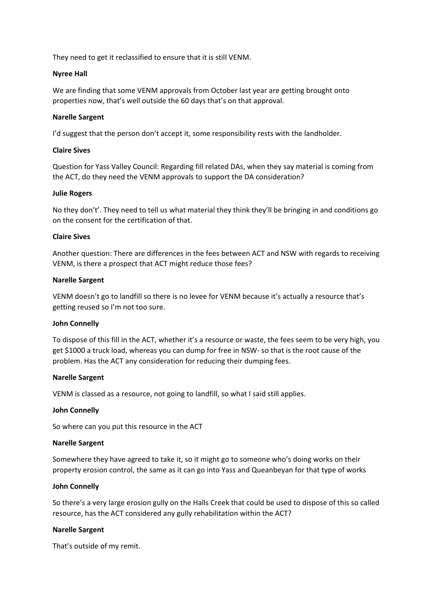They need to get it reclassified to ensure that it is still VENM.

## **Nyree Hall**

We are finding that some VENM approvals from October last year are getting brought onto properties now, that's well outside the 60 days that's on that approval.

## **Narelle Sargent**

I'd suggest that the person don't accept it, some responsibility rests with the landholder.

## **Claire Sives**

Question for Yass Valley Council: Regarding fill related DAs, when they say material is coming from the ACT, do they need the VENM approvals to support the DA consideration?

## **Julie Rogers**

No they don't'. They need to tell us what material they think they'll be bringing in and conditions go on the consent for the certification of that.

# **Claire Sives**

Another question: There are differences in the fees between ACT and NSW with regards to receiving VENM, is there a prospect that ACT might reduce those fees?

## **Narelle Sargent**

VENM doesn't go to landfill so there is no levee for VENM because it's actually a resource that's getting reused so I'm not too sure.

## **John Connelly**

To dispose of this fill in the ACT, whether it's a resource or waste, the fees seem to be very high, you get \$1000 a truck load, whereas you can dump for free in NSW- so that is the root cause of the problem. Has the ACT any consideration for reducing their dumping fees.

## **Narelle Sargent**

VENM is classed as a resource, not going to landfill, so what I said still applies.

## **John Connelly**

So where can you put this resource in the ACT

## **Narelle Sargent**

Somewhere they have agreed to take it, so it might go to someone who's doing works on their property erosion control, the same as it can go into Yass and Queanbeyan for that type of works

## **John Connelly**

So there's a very large erosion gully on the Halls Creek that could be used to dispose of this so called resource, has the ACT considered any gully rehabilitation within the ACT?

## **Narelle Sargent**

That's outside of my remit.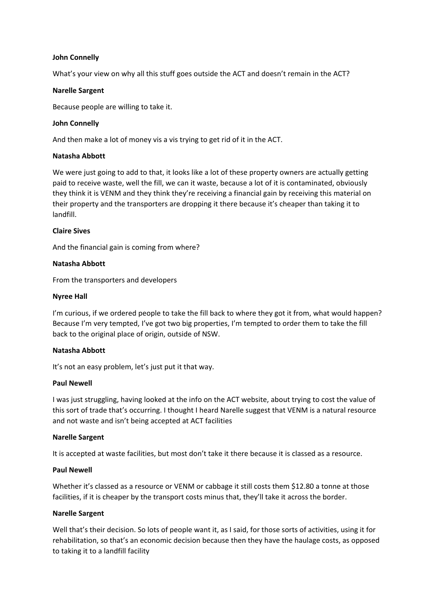## **John Connelly**

What's your view on why all this stuff goes outside the ACT and doesn't remain in the ACT?

## **Narelle Sargent**

Because people are willing to take it.

#### **John Connelly**

And then make a lot of money vis a vis trying to get rid of it in the ACT.

### **Natasha Abbott**

We were just going to add to that, it looks like a lot of these property owners are actually getting paid to receive waste, well the fill, we can it waste, because a lot of it is contaminated, obviously they think it is VENM and they think they're receiving a financial gain by receiving this material on their property and the transporters are dropping it there because it's cheaper than taking it to landfill.

#### **Claire Sives**

And the financial gain is coming from where?

#### **Natasha Abbott**

From the transporters and developers

#### **Nyree Hall**

I'm curious, if we ordered people to take the fill back to where they got it from, what would happen? Because I'm very tempted, I've got two big properties, I'm tempted to order them to take the fill back to the original place of origin, outside of NSW.

## **Natasha Abbott**

It's not an easy problem, let's just put it that way.

#### **Paul Newell**

I was just struggling, having looked at the info on the ACT website, about trying to cost the value of this sort of trade that's occurring. I thought I heard Narelle suggest that VENM is a natural resource and not waste and isn't being accepted at ACT facilities

## **Narelle Sargent**

It is accepted at waste facilities, but most don't take it there because it is classed as a resource.

## **Paul Newell**

Whether it's classed as a resource or VENM or cabbage it still costs them \$12.80 a tonne at those facilities, if it is cheaper by the transport costs minus that, they'll take it across the border.

## **Narelle Sargent**

Well that's their decision. So lots of people want it, as I said, for those sorts of activities, using it for rehabilitation, so that's an economic decision because then they have the haulage costs, as opposed to taking it to a landfill facility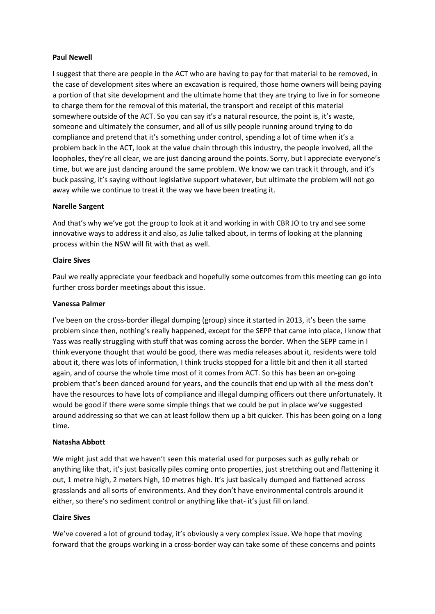## **Paul Newell**

I suggest that there are people in the ACT who are having to pay for that material to be removed, in the case of development sites where an excavation is required, those home owners will being paying a portion of that site development and the ultimate home that they are trying to live in for someone to charge them for the removal of this material, the transport and receipt of this material somewhere outside of the ACT. So you can say it's a natural resource, the point is, it's waste, someone and ultimately the consumer, and all of us silly people running around trying to do compliance and pretend that it's something under control, spending a lot of time when it's a problem back in the ACT, look at the value chain through this industry, the people involved, all the loopholes, they're all clear, we are just dancing around the points. Sorry, but I appreciate everyone's time, but we are just dancing around the same problem. We know we can track it through, and it's buck passing, it's saying without legislative support whatever, but ultimate the problem will not go away while we continue to treat it the way we have been treating it.

## **Narelle Sargent**

And that's why we've got the group to look at it and working in with CBR JO to try and see some innovative ways to address it and also, as Julie talked about, in terms of looking at the planning process within the NSW will fit with that as well.

# **Claire Sives**

Paul we really appreciate your feedback and hopefully some outcomes from this meeting can go into further cross border meetings about this issue.

## **Vanessa Palmer**

I've been on the cross-border illegal dumping (group) since it started in 2013, it's been the same problem since then, nothing's really happened, except for the SEPP that came into place, I know that Yass was really struggling with stuff that was coming across the border. When the SEPP came in I think everyone thought that would be good, there was media releases about it, residents were told about it, there was lots of information, I think trucks stopped for a little bit and then it all started again, and of course the whole time most of it comes from ACT. So this has been an on-going problem that's been danced around for years, and the councils that end up with all the mess don't have the resources to have lots of compliance and illegal dumping officers out there unfortunately. It would be good if there were some simple things that we could be put in place we've suggested around addressing so that we can at least follow them up a bit quicker. This has been going on a long time.

## **Natasha Abbott**

We might just add that we haven't seen this material used for purposes such as gully rehab or anything like that, it's just basically piles coming onto properties, just stretching out and flattening it out, 1 metre high, 2 meters high, 10 metres high. It's just basically dumped and flattened across grasslands and all sorts of environments. And they don't have environmental controls around it either, so there's no sediment control or anything like that- it's just fill on land.

## **Claire Sives**

We've covered a lot of ground today, it's obviously a very complex issue. We hope that moving forward that the groups working in a cross-border way can take some of these concerns and points